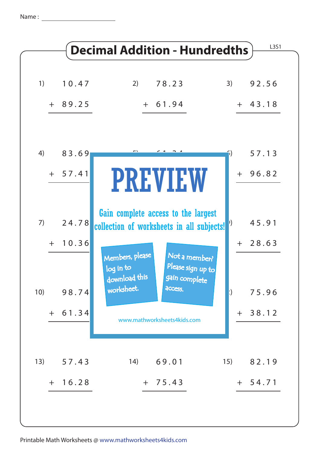